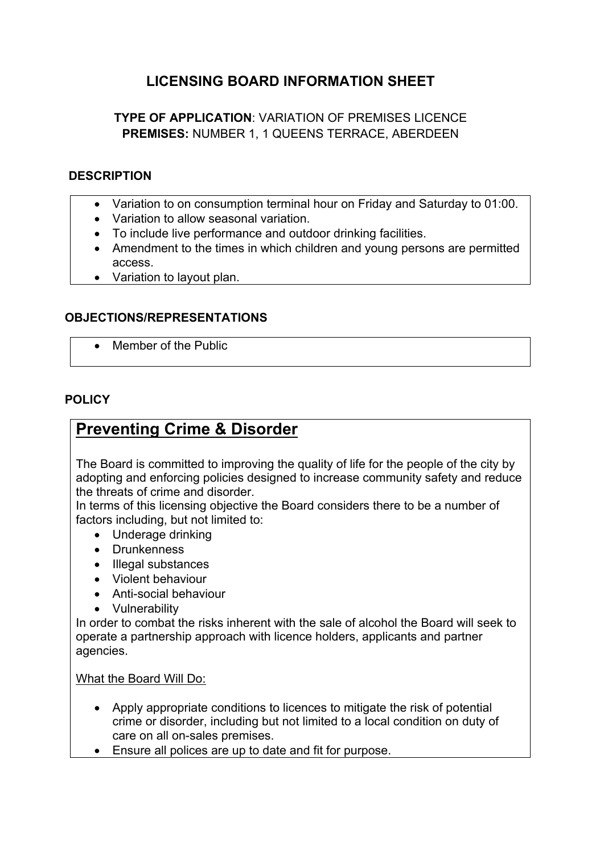## **LICENSING BOARD INFORMATION SHEET**

**TYPE OF APPLICATION**: VARIATION OF PREMISES LICENCE **PREMISES:** NUMBER 1, 1 QUEENS TERRACE, ABERDEEN

#### **DESCRIPTION**

- Variation to on consumption terminal hour on Friday and Saturday to 01:00.
- Variation to allow seasonal variation.
- To include live performance and outdoor drinking facilities.
- Amendment to the times in which children and young persons are permitted access.
- Variation to layout plan.

## **OBJECTIONS/REPRESENTATIONS**

• Member of the Public

#### **POLICY**

# **Preventing Crime & Disorder**

The Board is committed to improving the quality of life for the people of the city by adopting and enforcing policies designed to increase community safety and reduce the threats of crime and disorder.

In terms of this licensing objective the Board considers there to be a number of factors including, but not limited to:

- Underage drinking
- Drunkenness
- Illegal substances
- Violent behaviour
- Anti-social behaviour
- Vulnerability

In order to combat the risks inherent with the sale of alcohol the Board will seek to operate a partnership approach with licence holders, applicants and partner agencies.

What the Board Will Do:

- Apply appropriate conditions to licences to mitigate the risk of potential crime or disorder, including but not limited to a local condition on duty of care on all on-sales premises.
- Ensure all polices are up to date and fit for purpose.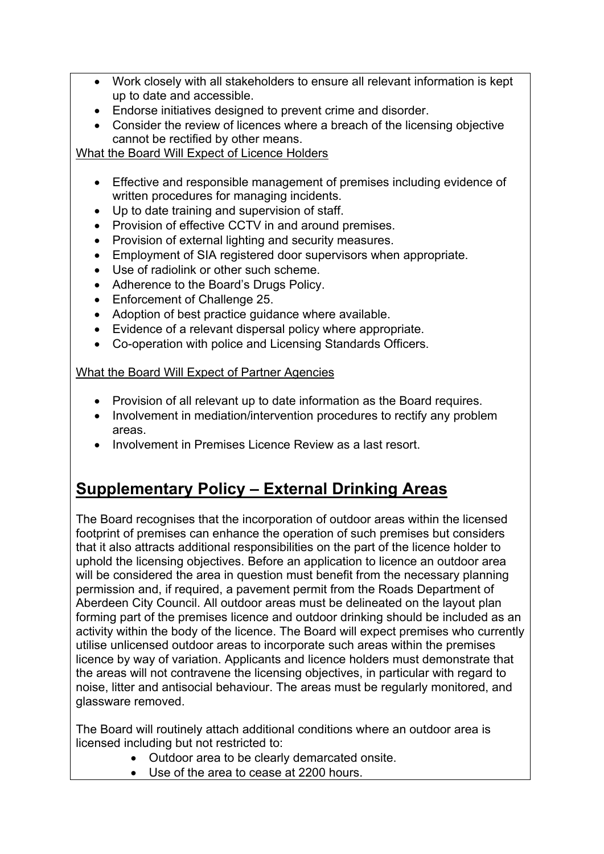- Work closely with all stakeholders to ensure all relevant information is kept up to date and accessible.
- Endorse initiatives designed to prevent crime and disorder.
- Consider the review of licences where a breach of the licensing objective cannot be rectified by other means.

What the Board Will Expect of Licence Holders

- Effective and responsible management of premises including evidence of written procedures for managing incidents.
- Up to date training and supervision of staff.
- Provision of effective CCTV in and around premises.
- Provision of external lighting and security measures.
- Employment of SIA registered door supervisors when appropriate.
- Use of radiolink or other such scheme.
- Adherence to the Board's Drugs Policy.
- Enforcement of Challenge 25.
- Adoption of best practice guidance where available.
- Evidence of a relevant dispersal policy where appropriate.
- Co-operation with police and Licensing Standards Officers.

## What the Board Will Expect of Partner Agencies

- Provision of all relevant up to date information as the Board requires.
- Involvement in mediation/intervention procedures to rectify any problem areas.
- Involvement in Premises Licence Review as a last resort.

# **Supplementary Policy – External Drinking Areas**

The Board recognises that the incorporation of outdoor areas within the licensed footprint of premises can enhance the operation of such premises but considers that it also attracts additional responsibilities on the part of the licence holder to uphold the licensing objectives. Before an application to licence an outdoor area will be considered the area in question must benefit from the necessary planning permission and, if required, a pavement permit from the Roads Department of Aberdeen City Council. All outdoor areas must be delineated on the layout plan forming part of the premises licence and outdoor drinking should be included as an activity within the body of the licence. The Board will expect premises who currently utilise unlicensed outdoor areas to incorporate such areas within the premises licence by way of variation. Applicants and licence holders must demonstrate that the areas will not contravene the licensing objectives, in particular with regard to noise, litter and antisocial behaviour. The areas must be regularly monitored, and glassware removed.

The Board will routinely attach additional conditions where an outdoor area is licensed including but not restricted to:

- Outdoor area to be clearly demarcated onsite.
- Use of the area to cease at 2200 hours.